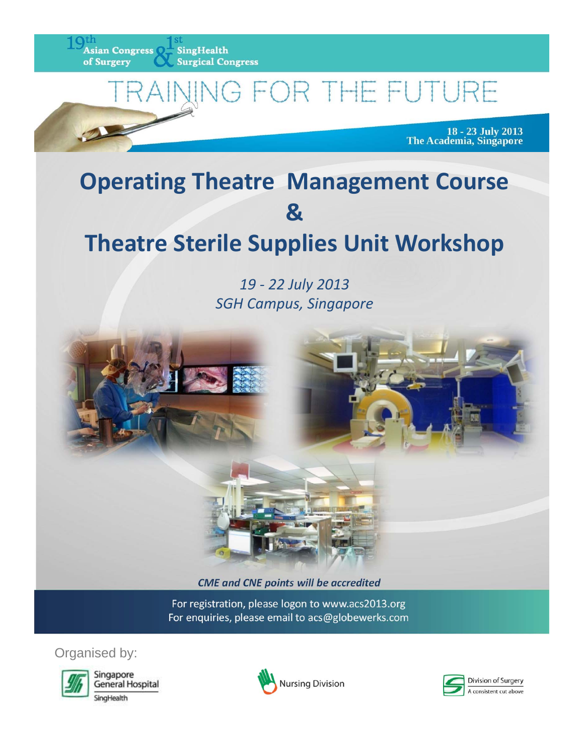

# IG FOR THE FUTURE

18 - 23 July 2013<br>The Academia, Singapore

## **Operating Theatre Management Course &**

### **Theatre Sterile Supplies Unit Workshop**

*19 ‐ 22 July 2013 SGH Campus, Singapore*



*CME and CNE points will be accredited*

For registration, please logon to www.acs2013.org For enquiries, please email to acs@globewerks.com

Organised by:



Singapore General Hospital SingHealth



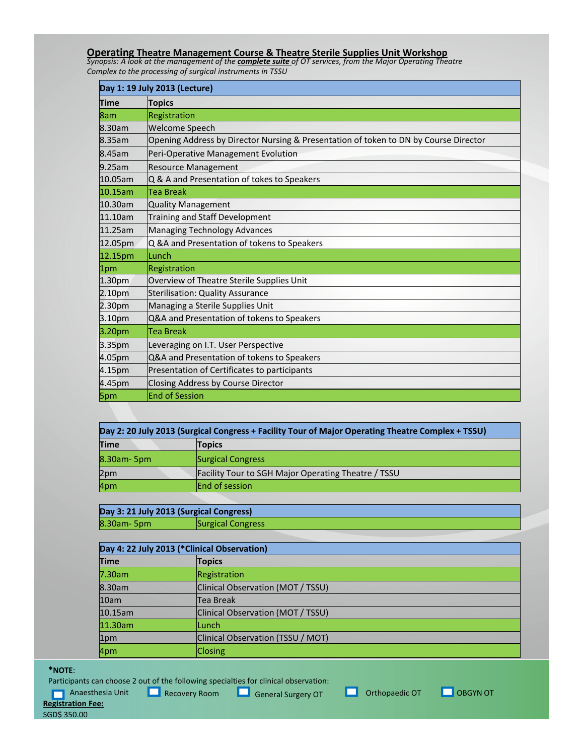### **Operating Theatre Management Course & Theatre Sterile Supplies Unit Workshop**<br>Synopsis: A look at the management of the **complete suite** of OT services, from the Major Operating Theatre

*Complex to the processing of surgical instruments in TSSU*

| Day 1: 19 July 2013 (Lecture) |                                                                                      |
|-------------------------------|--------------------------------------------------------------------------------------|
| <b>Time</b>                   | <b>Topics</b>                                                                        |
| 8am                           | Registration                                                                         |
| 8.30am                        | <b>Welcome Speech</b>                                                                |
| 8.35am                        | Opening Address by Director Nursing & Presentation of token to DN by Course Director |
| 8.45am                        | Peri-Operative Management Evolution                                                  |
| 9.25am                        | <b>Resource Management</b>                                                           |
| 10.05am                       | Q & A and Presentation of tokes to Speakers                                          |
| 10.15am                       | Tea Break                                                                            |
| 10.30am                       | <b>Quality Management</b>                                                            |
| 11.10am                       | Training and Staff Development                                                       |
| 11.25am                       | Managing Technology Advances                                                         |
| 12.05pm                       | Q &A and Presentation of tokens to Speakers                                          |
| 12.15pm                       | lLunch                                                                               |
| 1pm                           | Registration                                                                         |
| 1.30 <sub>pm</sub>            | Overview of Theatre Sterile Supplies Unit                                            |
| 2.10 <sub>pm</sub>            | <b>Sterilisation: Quality Assurance</b>                                              |
| 2.30pm                        | Managing a Sterile Supplies Unit                                                     |
| 3.10pm                        | Q&A and Presentation of tokens to Speakers                                           |
| 3.20pm                        | <b>Tea Break</b>                                                                     |
| 3.35pm                        | Leveraging on I.T. User Perspective                                                  |
| 4.05pm                        | Q&A and Presentation of tokens to Speakers                                           |
| 4.15pm                        | Presentation of Certificates to participants                                         |
| 4.45pm                        | Closing Address by Course Director                                                   |
| 5pm                           | <b>End of Session</b>                                                                |

| Day 2: 20 July 2013 (Surgical Congress + Facility Tour of Major Operating Theatre Complex + TSSU) |                                                            |
|---------------------------------------------------------------------------------------------------|------------------------------------------------------------|
| Time                                                                                              | <b>Topics</b>                                              |
| 8.30am-5pm                                                                                        | <b>Surgical Congress</b>                                   |
| 2pm                                                                                               | <b>Facility Tour to SGH Major Operating Theatre / TSSU</b> |
| 4pm                                                                                               | <b>End of session</b>                                      |

| Day 3: 21 July 2013 (Surgical Congress) |                          |
|-----------------------------------------|--------------------------|
| $8.30$ am- $5$ pm                       | <b>Surgical Congress</b> |

| Day 4: 22 July 2013 (*Clinical Observation) |                                   |
|---------------------------------------------|-----------------------------------|
| <b>Time</b>                                 | <b>Topics</b>                     |
| 7.30am                                      | Registration                      |
| 8.30am                                      | Clinical Observation (MOT / TSSU) |
| 10am                                        | <b>Tea Break</b>                  |
| 10.15am                                     | Clinical Observation (MOT / TSSU) |
| 11.30am                                     | lLunch                            |
| 1pm                                         | Clinical Observation (TSSU / MOT) |
| 4pm                                         | <b>Closing</b>                    |

#### **\*NOTE**:

Participants can choose 2 out of the following specialties for clinical observation:

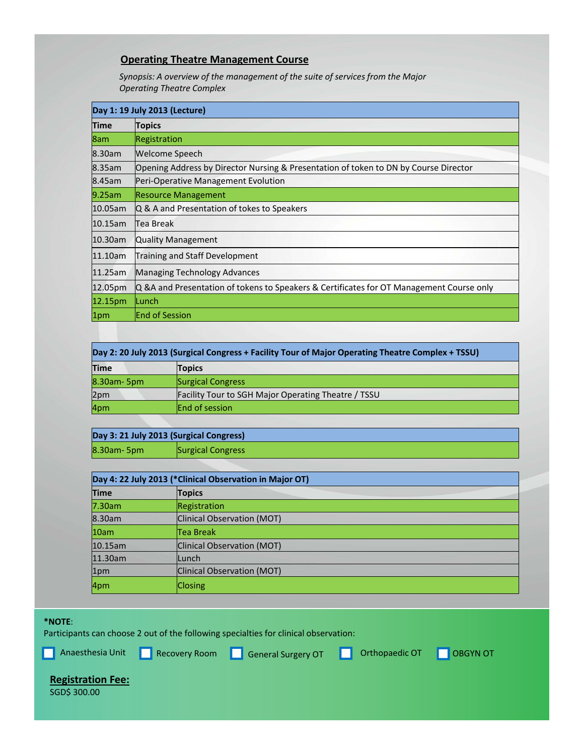#### **Operating Theatre Management Course**

*Synopsis: A overview of the management of the suite of services from the Major Operating Theatre Complex*

| Day 1: 19 July 2013 (Lecture) |                                                                                          |
|-------------------------------|------------------------------------------------------------------------------------------|
| Time                          | <b>Topics</b>                                                                            |
| 8am                           | Registration                                                                             |
| 8.30am                        | Welcome Speech                                                                           |
| 8.35am                        | Opening Address by Director Nursing & Presentation of token to DN by Course Director     |
| 8.45am                        | Peri-Operative Management Evolution                                                      |
| 9.25am                        | <b>Resource Management</b>                                                               |
| 10.05am                       | Q & A and Presentation of tokes to Speakers                                              |
| $10.15$ am                    | Tea Break                                                                                |
| 10.30am                       | <b>Quality Management</b>                                                                |
| 11.10am                       | Training and Staff Development                                                           |
| 11.25am                       | Managing Technology Advances                                                             |
| 12.05pm                       | Q &A and Presentation of tokens to Speakers & Certificates for OT Management Course only |
| 12.15pm                       | ILunch                                                                                   |
| 1pm                           | <b>End of Session</b>                                                                    |

| Day 2: 20 July 2013 (Surgical Congress + Facility Tour of Major Operating Theatre Complex + TSSU) |                                                            |
|---------------------------------------------------------------------------------------------------|------------------------------------------------------------|
| <b>Time</b>                                                                                       | <b>Topics</b>                                              |
| 8.30am- 5pm                                                                                       | <b>Surgical Congress</b>                                   |
| 2pm                                                                                               | <b>Facility Tour to SGH Major Operating Theatre / TSSU</b> |
| 4pm                                                                                               | <b>End of session</b>                                      |

**Day 3: 21 July 2013 (Surgical Congress)** 8.30am- 5pm Surgical Congress

| Day 4: 22 July 2013 (*Clinical Observation in Major OT) |                            |
|---------------------------------------------------------|----------------------------|
| <b>Time</b>                                             | <b>Topics</b>              |
| 7.30am                                                  | Registration               |
| 8.30am                                                  | Clinical Observation (MOT) |
| 10am                                                    | <b>Tea Break</b>           |
| 10.15am                                                 | Clinical Observation (MOT) |
| 11.30am                                                 | lLunch                     |
| 1pm                                                     | Clinical Observation (MOT) |
| 4pm                                                     | <b>Closing</b>             |

#### **\*NOTE**:

Participants can choose 2 out of the following specialties for clinical observation:

**Anaesthesia Unit** Recovery Room **General Surgery OT CORD OT CORGYN OT** 

#### **Registration Fee:**

SGD\$ 300.00